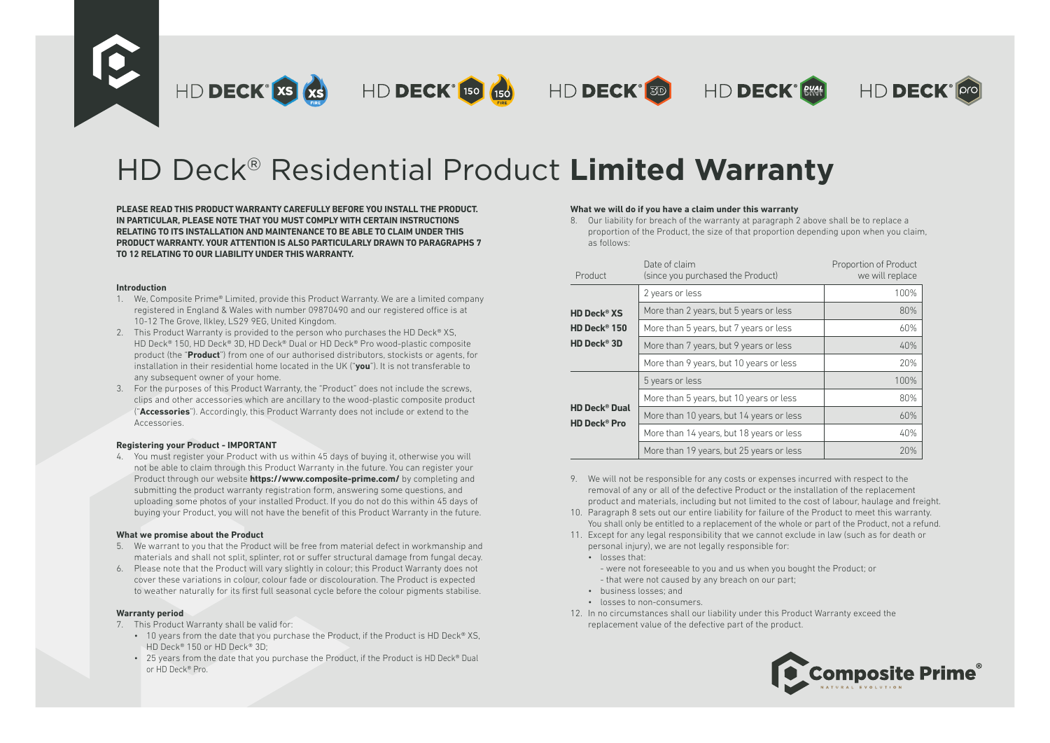

# HD Deck® Residential Product **Limited Warranty**

**PLEASE READ THIS PRODUCT WARRANTY CAREFULLY BEFORE YOU INSTALL THE PRODUCT. IN PARTICULAR, PLEASE NOTE THAT YOU MUST COMPLY WITH CERTAIN INSTRUCTIONS RELATING TO ITS INSTALLATION AND MAINTENANCE TO BE ABLE TO CLAIM UNDER THIS PRODUCT WARRANTY. YOUR ATTENTION IS ALSO PARTICULARLY DRAWN TO PARAGRAPHS 7 TO 12 RELATING TO OUR LIABILITY UNDER THIS WARRANTY.**

#### **Introduction**

- 1. We, Composite Prime® Limited, provide this Product Warranty. We are a limited company registered in England & Wales with number 09870490 and our registered office is at 10-12 The Grove, Ilkley, LS29 9EG, United Kingdom.
- 2. This Product Warranty is provided to the person who purchases the HD Deck® XS, HD Deck® 150, HD Deck® 3D, HD Deck® Dual or HD Deck® Pro wood-plastic composite product (the "**Product**") from one of our authorised distributors, stockists or agents, for installation in their residential home located in the UK ("**you**"). It is not transferable to any subsequent owner of your home.
- 3. For the purposes of this Product Warranty, the "Product" does not include the screws, clips and other accessories which are ancillary to the wood-plastic composite product ("**Accessories**"). Accordingly, this Product Warranty does not include or extend to the Accessories.

### **Registering your Product - IMPORTANT**

4. You must register your Product with us within 45 days of buying it, otherwise you will not be able to claim through this Product Warranty in the future. You can register your Product through our website **https://www.composite-prime.com/** by completing and submitting the product warranty registration form, answering some questions, and uploading some photos of your installed Product. If you do not do this within 45 days of buying your Product, you will not have the benefit of this Product Warranty in the future.

### **What we promise about the Product**

- 5. We warrant to you that the Product will be free from material defect in workmanship and materials and shall not split, splinter, rot or suffer structural damage from fungal decay.
- 6. Please note that the Product will vary slightly in colour; this Product Warranty does not cover these variations in colour, colour fade or discolouration. The Product is expected to weather naturally for its first full seasonal cycle before the colour pigments stabilise.

### **Warranty period**

- 7. This Product Warranty shall be valid for:
	- 10 years from the date that you purchase the Product, if the Product is HD Deck® XS. HD Deck® 150 or HD Deck® 3D;
	- $\cdot$  25 years from the date that you purchase the Product, if the Product is HD Deck® Dual or HD Deck® Pro.

### **What we will do if you have a claim under this warranty**

8. Our liability for breach of the warranty at paragraph 2 above shall be to replace a proportion of the Product, the size of that proportion depending upon when you claim, as follows:

| Product                                                           | Date of claim<br>(since you purchased the Product) | Proportion of Product<br>we will replace |
|-------------------------------------------------------------------|----------------------------------------------------|------------------------------------------|
|                                                                   | 2 years or less                                    | 100%                                     |
| <b>HD Deck<sup>®</sup> XS</b>                                     | More than 2 years, but 5 years or less             | 80%                                      |
| HD Deck® 150                                                      | More than 5 years, but 7 years or less             | 60%                                      |
| HD Deck® 3D                                                       | More than 7 years, but 9 years or less             | 40%                                      |
|                                                                   | More than 9 years, but 10 years or less            | 20%                                      |
| <b>HD Deck<sup>®</sup> Dual</b><br><b>HD Deck<sup>®</sup> Pro</b> | 5 years or less                                    | 100%                                     |
|                                                                   | More than 5 years, but 10 years or less            | 80%                                      |
|                                                                   | More than 10 years, but 14 years or less           | 60%                                      |
|                                                                   | More than 14 years, but 18 years or less           | 40%                                      |
|                                                                   | More than 19 years, but 25 years or less           | 20%                                      |

- 9. We will not be responsible for any costs or expenses incurred with respect to the removal of any or all of the defective Product or the installation of the replacement product and materials, including but not limited to the cost of labour, haulage and freight.
- 10. Paragraph 8 sets out our entire liability for failure of the Product to meet this warranty. You shall only be entitled to a replacement of the whole or part of the Product, not a refund.
- 11. Except for any legal responsibility that we cannot exclude in law (such as for death or personal injury), we are not legally responsible for:
	- losses that:
		- were not foreseeable to you and us when you bought the Product; or - that were not caused by any breach on our part;
	- business losses; and
	- losses to non-consumers.
- 12. In no circumstances shall our liability under this Product Warranty exceed the replacement value of the defective part of the product.